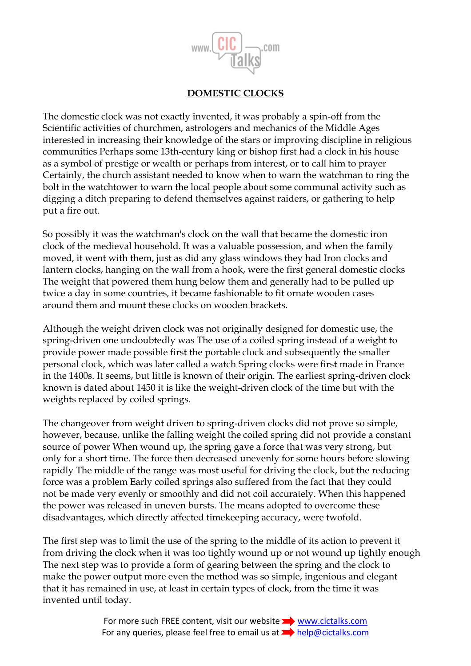

## **DOMESTIC CLOCKS**

The domestic clock was not exactly invented, it was probably a spin-off from the Scientific activities of churchmen, astrologers and mechanics of the Middle Ages interested in increasing their knowledge of the stars or improving discipline in religious communities Perhaps some 13th-century king or bishop first had a clock in his house as a symbol of prestige or wealth or perhaps from interest, or to call him to prayer Certainly, the church assistant needed to know when to warn the watchman to ring the bolt in the watchtower to warn the local people about some communal activity such as digging a ditch preparing to defend themselves against raiders, or gathering to help put a fire out.

So possibly it was the watchman's clock on the wall that became the domestic iron clock of the medieval household. It was a valuable possession, and when the family moved, it went with them, just as did any glass windows they had Iron clocks and lantern clocks, hanging on the wall from a hook, were the first general domestic clocks The weight that powered them hung below them and generally had to be pulled up twice a day in some countries, it became fashionable to fit ornate wooden cases around them and mount these clocks on wooden brackets.

Although the weight driven clock was not originally designed for domestic use, the spring-driven one undoubtedly was The use of a coiled spring instead of a weight to provide power made possible first the portable clock and subsequently the smaller personal clock, which was later called a watch Spring clocks were first made in France in the 1400s. It seems, but little is known of their origin. The earliest spring-driven clock known is dated about 1450 it is like the weight-driven clock of the time but with the weights replaced by coiled springs.

The changeover from weight driven to spring-driven clocks did not prove so simple, however, because, unlike the falling weight the coiled spring did not provide a constant source of power When wound up, the spring gave a force that was very strong, but only for a short time. The force then decreased unevenly for some hours before slowing rapidly The middle of the range was most useful for driving the clock, but the reducing force was a problem Early coiled springs also suffered from the fact that they could not be made very evenly or smoothly and did not coil accurately. When this happened the power was released in uneven bursts. The means adopted to overcome these disadvantages, which directly affected timekeeping accuracy, were twofold.

The first step was to limit the use of the spring to the middle of its action to prevent it from driving the clock when it was too tightly wound up or not wound up tightly enough The next step was to provide a form of gearing between the spring and the clock to make the power output more even the method was so simple, ingenious and elegant that it has remained in use, at least in certain types of clock, from the time it was invented until today.